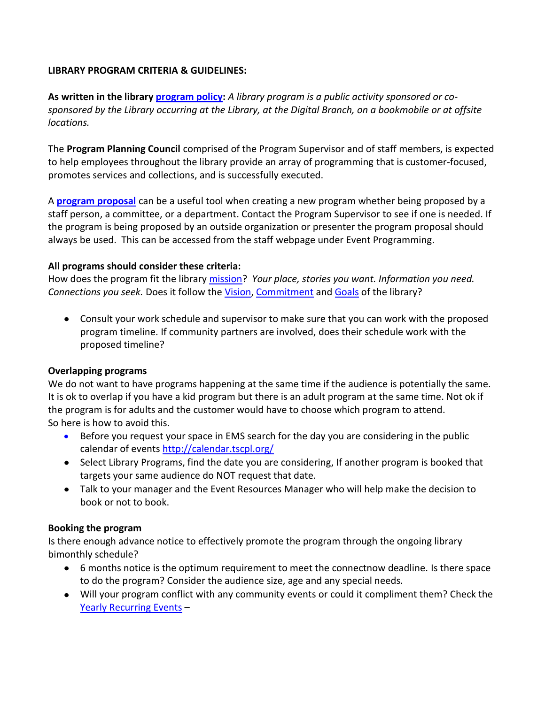### **LIBRARY PROGRAM CRITERIA & GUIDELINES:**

**As written in the library [program policy:](http://staff.tscpl.org/images/uploads/programming/ProgramsPolicy.pdf)** *A library program is a public activity sponsored or cosponsored by the Library occurring at the Library, at the Digital Branch, on a bookmobile or at offsite locations.* 

The **Program Planning Council** comprised of the Program Supervisor and of staff members, is expected to help employees throughout the library provide an array of programming that is customer-focused, promotes services and collections, and is successfully executed.

A **[program proposal](http://staff.tscpl.org/images/uploads/programming/ProgramProposal.pdf)** can be a useful tool when creating a new program whether being proposed by a staff person, a committee, or a department. Contact the Program Supervisor to see if one is needed. If the program is being proposed by an outside organization or presenter the program proposal should always be used. This can be accessed from the staff webpage under Event Programming.

## **All programs should consider these criteria:**

How does the program fit the library [mission?](http://www.tscpl.org/nextdecade/section/mission/) *Your place, stories you want. Information you need. Connections you seek.* Does it follow the [Vision,](http://www.tscpl.org/nextdecade/section/vision/) [Commitment](http://www.tscpl.org/nextdecade/section/commitment/) and [Goals](http://www.tscpl.org/nextdecade/section/goals/) of the library?

Consult your work schedule and supervisor to make sure that you can work with the proposed program timeline. If community partners are involved, does their schedule work with the proposed timeline?

#### **Overlapping programs**

We do not want to have programs happening at the same time if the audience is potentially the same. It is ok to overlap if you have a kid program but there is an adult program at the same time. Not ok if the program is for adults and the customer would have to choose which program to attend. So here is how to avoid this.

- Before you request your space in EMS search for the day you are considering in the public calendar of events <http://calendar.tscpl.org/>
- Select Library Programs, find the date you are considering, If another program is booked that targets your same audience do NOT request that date.
- Talk to your manager and the Event Resources Manager who will help make the decision to book or not to book.

#### **Booking the program**

Is there enough advance notice to effectively promote the program through the ongoing library bimonthly schedule?

- 6 months notice is the optimum requirement to meet the connectnow deadline. Is there space to do the program? Consider the audience size, age and any special needs.
- Will your program conflict with any community events or could it compliment them? Check the [Yearly Recurring Events](http://staff.tscpl.org/blogs/comments/calendar_list_of_events/) –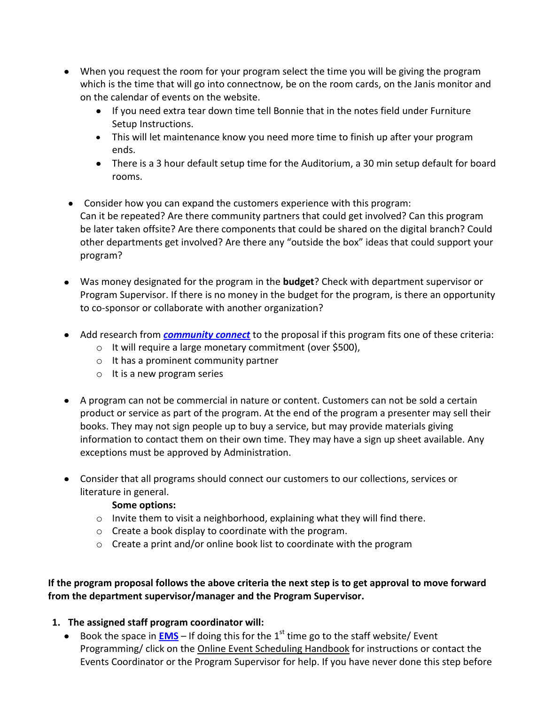- When you request the room for your program select the time you will be giving the program which is the time that will go into connectnow, be on the room cards, on the Janis monitor and on the calendar of events on the website.
	- If you need extra tear down time tell Bonnie that in the notes field under Furniture Setup Instructions.
	- This will let maintenance know you need more time to finish up after your program ends.
	- There is a 3 hour default setup time for the Auditorium, a 30 min setup default for board rooms.
- Consider how you can expand the customers experience with this program: Can it be repeated? Are there community partners that could get involved? Can this program be later taken offsite? Are there components that could be shared on the digital branch? Could other departments get involved? Are there any "outside the box" ideas that could support your program?
- Was money designated for the program in the **budget**? Check with department supervisor or Program Supervisor. If there is no money in the budget for the program, is there an opportunity to co-sponsor or collaborate with another organization?
- Add research from *[community connect](http://tscplcommunityconnect.com/)* to the proposal if this program fits one of these criteria:
	- o It will require a large monetary commitment (over \$500),
	- o It has a prominent community partner
	- o It is a new program series
- A program can not be commercial in nature or content. Customers can not be sold a certain product or service as part of the program. At the end of the program a presenter may sell their books. They may not sign people up to buy a service, but may provide materials giving information to contact them on their own time. They may have a sign up sheet available. Any exceptions must be approved by Administration.
- Consider that all programs should connect our customers to our collections, services or literature in general.

## **Some options:**

- o Invite them to visit a neighborhood, explaining what they will find there.
- o Create a book display to coordinate with the program.
- $\circ$  Create a print and/or online book list to coordinate with the program

## **If the program proposal follows the above criteria the next step is to get approval to move forward from the department supervisor/manager and the Program Supervisor.**

# **1. The assigned staff program coordinator will:**

Book the space in **[EMS](http://ems.tscpl.org/BrowseEvents.aspx)** – If doing this for the 1<sup>st</sup> time go to the staff website/ Event Programming/ click on th[e Online Event Scheduling Handbook](http://tscplweblp01.tscpl.org/images/uploads/files/Event%20Scheduling%20Handbook%20for%20Staff.pdf) for instructions or contact the Events Coordinator or the Program Supervisor for help. If you have never done this step before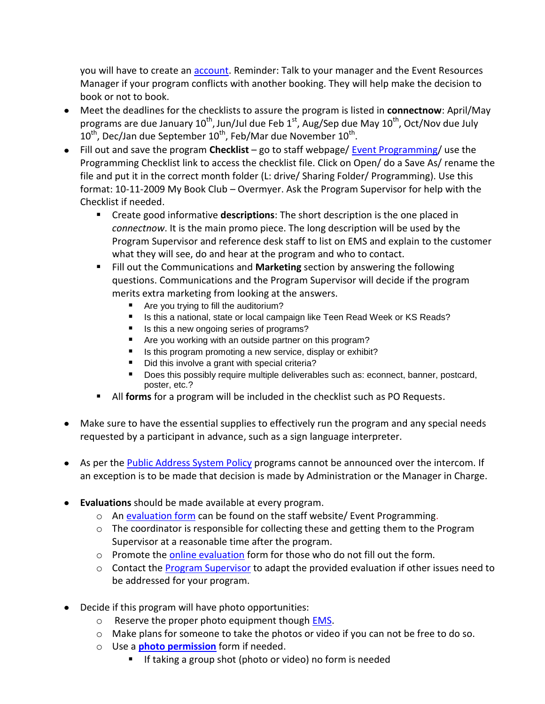you will have to create an [account.](http://ems.tscpl.org/Login.aspx) Reminder: Talk to your manager and the Event Resources Manager if your program conflicts with another booking. They will help make the decision to book or not to book.

- Meet the deadlines for the checklists to assure the program is listed in **connectnow**: April/May programs are due January 10<sup>th</sup>, Jun/Jul due Feb 1<sup>st</sup>, Aug/Sep due May 10<sup>th</sup>, Oct/Nov due July  $10^{\text{th}}$ , Dec/Jan due September  $10^{\text{th}}$ , Feb/Mar due November  $10^{\text{th}}$ .
- Fill out and save the program **Checklist** go to staff webpage/ [Event Programming/](http://staff.tscpl.org/programming) use the Programming Checklist link to access the checklist file. Click on Open/ do a Save As/ rename the file and put it in the correct month folder (L: drive/ Sharing Folder/ Programming). Use this format: 10-11-2009 My Book Club – Overmyer. Ask the Program Supervisor for help with the Checklist if needed.
	- Create good informative **descriptions**: The short description is the one placed in *connectnow*. It is the main promo piece. The long description will be used by the Program Supervisor and reference desk staff to list on EMS and explain to the customer what they will see, do and hear at the program and who to contact.
	- Fill out the Communications and **Marketing** section by answering the following questions. Communications and the Program Supervisor will decide if the program merits extra marketing from looking at the answers.
		- Are you trying to fill the auditorium?
		- Is this a national, state or local campaign like Teen Read Week or KS Reads?
		- Is this a new ongoing series of programs?
		- Are you working with an outside partner on this program?
		- Is this program promoting a new service, display or exhibit?
		- Did this involve a grant with special criteria?
		- Does this possibly require multiple deliverables such as: econnect, banner, postcard, poster, etc.?
	- All **forms** for a program will be included in the checklist such as PO Requests.
- Make sure to have the essential supplies to effectively run the program and any special needs requested by a participant in advance, such as a sign language interpreter.
- As per the **Public Address System Policy** programs cannot be announced over the intercom. If an exception is to be made that decision is made by Administration or the Manager in Charge.
- **Evaluations** should be made available at every program.
	- $\circ$  An [evaluation form](http://staff.tscpl.org/images/uploads/programming/PublicEvaluation.pdf) can be found on the staff website/ Event Programming.
	- $\circ$  The coordinator is responsible for collecting these and getting them to the Program Supervisor at a reasonable time after the program.
	- $\circ$  Promote the [online evaluation](http://www.tscpl.org/programs/program-evaluation/) form for those who do not fill out the form.
	- o Contact the [Program Supervisor](mailto:novermyer@tscpl.org) to adapt the provided evaluation if other issues need to be addressed for your program.
- Decide if this program will have photo opportunities:
	- o Reserve the proper photo equipment though **EMS**.
	- o Make plans for someone to take the photos or video if you can not be free to do so.
	- o Use a **[photo permission](http://staff.tscpl.org/images/uploads/programming/PhotoPermissionForm.pdf)** form if needed.
		- If taking a group shot (photo or video) no form is needed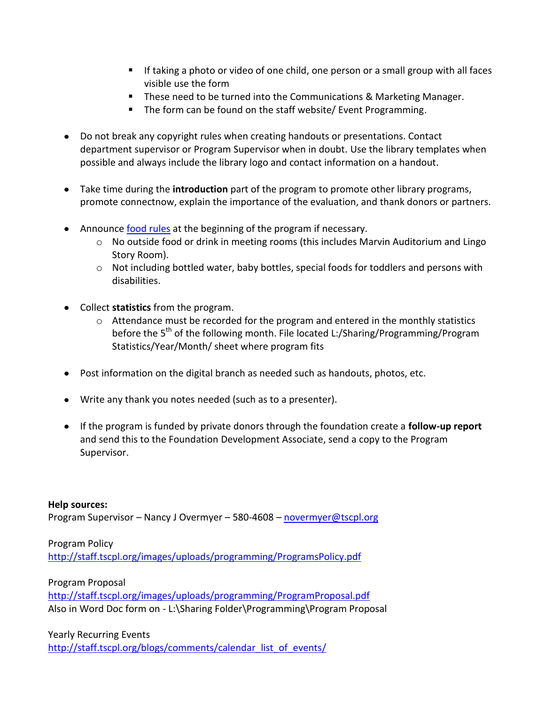- If taking a photo or video of one child, one person or a small group with all faces visible use the form
- **These need to be turned into the Communications & Marketing Manager.**
- The form can be found on the staff website/ Event Programming.
- Do not break any copyright rules when creating handouts or presentations. Contact department supervisor or Program Supervisor when in doubt. Use the library templates when possible and always include the library logo and contact information on a handout.
- Take time during the **introduction** part of the program to promote other library programs, promote connectnow, explain the importance of the evaluation, and thank donors or partners.
- Announce [food rules](http://www.tscpl.org/about/comments/meeting_room_policy/) at the beginning of the program if necessary.
	- $\circ$  No outside food or drink in meeting rooms (this includes Marvin Auditorium and Lingo Story Room).
	- $\circ$  Not including bottled water, baby bottles, special foods for toddlers and persons with disabilities.
- Collect **statistics** from the program.
	- o Attendance must be recorded for the program and entered in the monthly statistics before the 5<sup>th</sup> of the following month. File located L:/Sharing/Programming/Program Statistics/Year/Month/ sheet where program fits
- Post information on the digital branch as needed such as handouts, photos, etc.
- Write any thank you notes needed (such as to a presenter).
- If the program is funded by private donors through the foundation create a **follow-up report** and send this to the Foundation Development Associate, send a copy to the Program Supervisor.

**Help sources:**  Program Supervisor – Nancy J Overmyer – 580-4608 – [novermyer@tscpl.org](mailto:novermyer@tscpl.org)

Program Policy <http://staff.tscpl.org/images/uploads/programming/ProgramsPolicy.pdf>

Program Proposal

<http://staff.tscpl.org/images/uploads/programming/ProgramProposal.pdf> Also in Word Doc form on - L:\Sharing Folder\Programming\Program Proposal

Yearly Recurring Events [http://staff.tscpl.org/blogs/comments/calendar\\_list\\_of\\_events/](http://staff.tscpl.org/blogs/comments/calendar_list_of_events/)